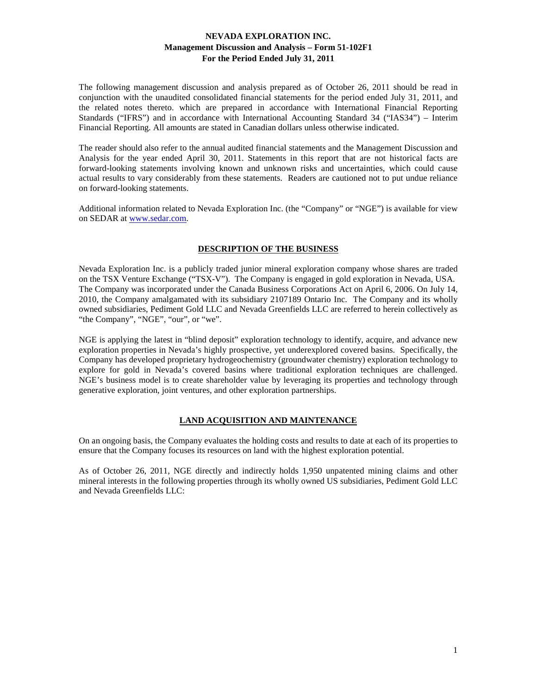The following management discussion and analysis prepared as of October 26, 2011 should be read in conjunction with the unaudited consolidated financial statements for the period ended July 31, 2011, and the related notes thereto. which are prepared in accordance with International Financial Reporting Standards ("IFRS") and in accordance with International Accounting Standard 34 ("IAS34") – Interim Financial Reporting. All amounts are stated in Canadian dollars unless otherwise indicated.

The reader should also refer to the annual audited financial statements and the Management Discussion and Analysis for the year ended April 30, 2011. Statements in this report that are not historical facts are forward-looking statements involving known and unknown risks and uncertainties, which could cause actual results to vary considerably from these statements. Readers are cautioned not to put undue reliance on forward-looking statements.

Additional information related to Nevada Exploration Inc. (the "Company" or "NGE") is available for view on SEDAR at www.sedar.com.

## **DESCRIPTION OF THE BUSINESS**

Nevada Exploration Inc. is a publicly traded junior mineral exploration company whose shares are traded on the TSX Venture Exchange ("TSX-V"). The Company is engaged in gold exploration in Nevada, USA. The Company was incorporated under the Canada Business Corporations Act on April 6, 2006. On July 14, 2010, the Company amalgamated with its subsidiary 2107189 Ontario Inc. The Company and its wholly owned subsidiaries, Pediment Gold LLC and Nevada Greenfields LLC are referred to herein collectively as "the Company", "NGE", "our", or "we".

NGE is applying the latest in "blind deposit" exploration technology to identify, acquire, and advance new exploration properties in Nevada's highly prospective, yet underexplored covered basins. Specifically, the Company has developed proprietary hydrogeochemistry (groundwater chemistry) exploration technology to explore for gold in Nevada's covered basins where traditional exploration techniques are challenged. NGE's business model is to create shareholder value by leveraging its properties and technology through generative exploration, joint ventures, and other exploration partnerships.

# **LAND ACQUISITION AND MAINTENANCE**

On an ongoing basis, the Company evaluates the holding costs and results to date at each of its properties to ensure that the Company focuses its resources on land with the highest exploration potential.

As of October 26, 2011, NGE directly and indirectly holds 1,950 unpatented mining claims and other mineral interests in the following properties through its wholly owned US subsidiaries, Pediment Gold LLC and Nevada Greenfields LLC: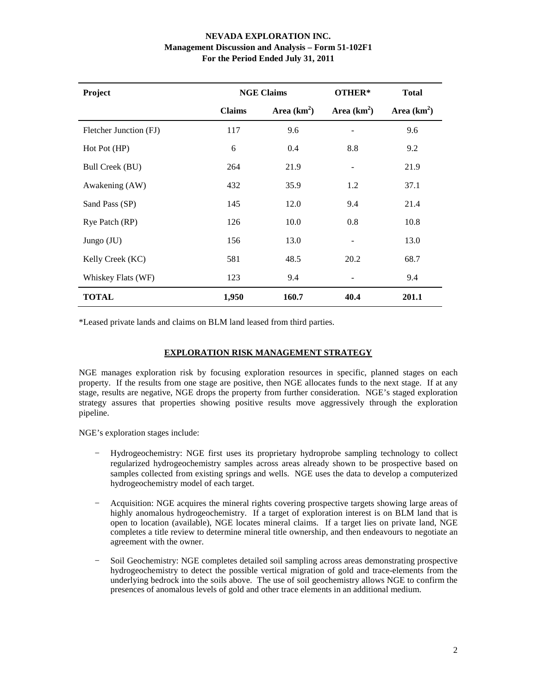| Project                | <b>NGE Claims</b>              |      | OTHER*        | <b>Total</b>  |
|------------------------|--------------------------------|------|---------------|---------------|
|                        | Area $(km^2)$<br><b>Claims</b> |      | Area $(km^2)$ | Area $(km^2)$ |
| Fletcher Junction (FJ) | 117                            | 9.6  |               | 9.6           |
| Hot Pot (HP)           | 6                              | 0.4  | 8.8           | 9.2           |
| Bull Creek (BU)        | 264                            | 21.9 |               | 21.9          |
| Awakening (AW)         | 432                            | 35.9 | 1.2           | 37.1          |
| Sand Pass (SP)         | 145                            | 12.0 | 9.4           | 21.4          |
| Rye Patch (RP)         | 126                            | 10.0 | 0.8           | 10.8          |
| Jungo (JU)             | 156                            | 13.0 |               | 13.0          |
| Kelly Creek (KC)       | 581                            | 48.5 | 20.2          | 68.7          |
| Whiskey Flats (WF)     | 123                            | 9.4  |               | 9.4           |
| <b>TOTAL</b>           | 1,950<br>160.7                 |      | 40.4          | 201.1         |

\*Leased private lands and claims on BLM land leased from third parties.

# **EXPLORATION RISK MANAGEMENT STRATEGY**

NGE manages exploration risk by focusing exploration resources in specific, planned stages on each property. If the results from one stage are positive, then NGE allocates funds to the next stage. If at any stage, results are negative, NGE drops the property from further consideration. NGE's staged exploration strategy assures that properties showing positive results move aggressively through the exploration pipeline.

NGE's exploration stages include:

- − Hydrogeochemistry: NGE first uses its proprietary hydroprobe sampling technology to collect regularized hydrogeochemistry samples across areas already shown to be prospective based on samples collected from existing springs and wells. NGE uses the data to develop a computerized hydrogeochemistry model of each target.
- − Acquisition: NGE acquires the mineral rights covering prospective targets showing large areas of highly anomalous hydrogeochemistry. If a target of exploration interest is on BLM land that is open to location (available), NGE locates mineral claims. If a target lies on private land, NGE completes a title review to determine mineral title ownership, and then endeavours to negotiate an agreement with the owner.
- − Soil Geochemistry: NGE completes detailed soil sampling across areas demonstrating prospective hydrogeochemistry to detect the possible vertical migration of gold and trace-elements from the underlying bedrock into the soils above. The use of soil geochemistry allows NGE to confirm the presences of anomalous levels of gold and other trace elements in an additional medium.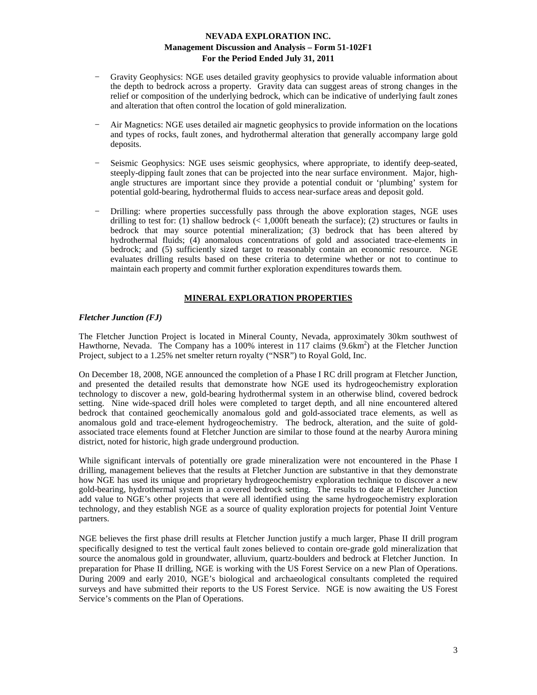- Gravity Geophysics: NGE uses detailed gravity geophysics to provide valuable information about the depth to bedrock across a property. Gravity data can suggest areas of strong changes in the relief or composition of the underlying bedrock, which can be indicative of underlying fault zones and alteration that often control the location of gold mineralization.
- − Air Magnetics: NGE uses detailed air magnetic geophysics to provide information on the locations and types of rocks, fault zones, and hydrothermal alteration that generally accompany large gold deposits.
- Seismic Geophysics: NGE uses seismic geophysics, where appropriate, to identify deep-seated, steeply-dipping fault zones that can be projected into the near surface environment. Major, highangle structures are important since they provide a potential conduit or 'plumbing' system for potential gold-bearing, hydrothermal fluids to access near-surface areas and deposit gold.
- Drilling: where properties successfully pass through the above exploration stages, NGE uses drilling to test for: (1) shallow bedrock  $\ll 1,000$ ft beneath the surface); (2) structures or faults in bedrock that may source potential mineralization; (3) bedrock that has been altered by hydrothermal fluids; (4) anomalous concentrations of gold and associated trace-elements in bedrock; and (5) sufficiently sized target to reasonably contain an economic resource. NGE evaluates drilling results based on these criteria to determine whether or not to continue to maintain each property and commit further exploration expenditures towards them.

## **MINERAL EXPLORATION PROPERTIES**

## *Fletcher Junction (FJ)*

The Fletcher Junction Project is located in Mineral County, Nevada, approximately 30km southwest of Hawthorne, Nevada. The Company has a 100% interest in 117 claims (9.6km<sup>2</sup>) at the Fletcher Junction Project, subject to a 1.25% net smelter return royalty ("NSR") to Royal Gold, Inc.

On December 18, 2008, NGE announced the completion of a Phase I RC drill program at Fletcher Junction, and presented the detailed results that demonstrate how NGE used its hydrogeochemistry exploration technology to discover a new, gold-bearing hydrothermal system in an otherwise blind, covered bedrock setting. Nine wide-spaced drill holes were completed to target depth, and all nine encountered altered bedrock that contained geochemically anomalous gold and gold-associated trace elements, as well as anomalous gold and trace-element hydrogeochemistry. The bedrock, alteration, and the suite of goldassociated trace elements found at Fletcher Junction are similar to those found at the nearby Aurora mining district, noted for historic, high grade underground production.

While significant intervals of potentially ore grade mineralization were not encountered in the Phase I drilling, management believes that the results at Fletcher Junction are substantive in that they demonstrate how NGE has used its unique and proprietary hydrogeochemistry exploration technique to discover a new gold-bearing, hydrothermal system in a covered bedrock setting. The results to date at Fletcher Junction add value to NGE's other projects that were all identified using the same hydrogeochemistry exploration technology, and they establish NGE as a source of quality exploration projects for potential Joint Venture partners.

NGE believes the first phase drill results at Fletcher Junction justify a much larger, Phase II drill program specifically designed to test the vertical fault zones believed to contain ore-grade gold mineralization that source the anomalous gold in groundwater, alluvium, quartz-boulders and bedrock at Fletcher Junction. In preparation for Phase II drilling, NGE is working with the US Forest Service on a new Plan of Operations. During 2009 and early 2010, NGE's biological and archaeological consultants completed the required surveys and have submitted their reports to the US Forest Service. NGE is now awaiting the US Forest Service's comments on the Plan of Operations.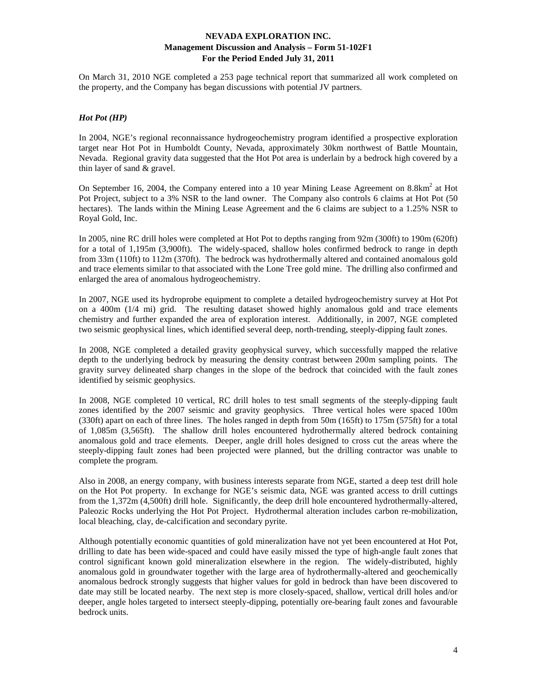On March 31, 2010 NGE completed a 253 page technical report that summarized all work completed on the property, and the Company has began discussions with potential JV partners.

# *Hot Pot (HP)*

In 2004, NGE's regional reconnaissance hydrogeochemistry program identified a prospective exploration target near Hot Pot in Humboldt County, Nevada, approximately 30km northwest of Battle Mountain, Nevada. Regional gravity data suggested that the Hot Pot area is underlain by a bedrock high covered by a thin layer of sand & gravel.

On September 16, 2004, the Company entered into a 10 year Mining Lease Agreement on  $8.8 \text{km}^2$  at Hot Pot Project, subject to a 3% NSR to the land owner. The Company also controls 6 claims at Hot Pot (50 hectares). The lands within the Mining Lease Agreement and the 6 claims are subject to a 1.25% NSR to Royal Gold, Inc.

In 2005, nine RC drill holes were completed at Hot Pot to depths ranging from 92m (300ft) to 190m (620ft) for a total of 1,195m (3,900ft). The widely-spaced, shallow holes confirmed bedrock to range in depth from 33m (110ft) to 112m (370ft). The bedrock was hydrothermally altered and contained anomalous gold and trace elements similar to that associated with the Lone Tree gold mine. The drilling also confirmed and enlarged the area of anomalous hydrogeochemistry.

In 2007, NGE used its hydroprobe equipment to complete a detailed hydrogeochemistry survey at Hot Pot on a 400m (1/4 mi) grid. The resulting dataset showed highly anomalous gold and trace elements chemistry and further expanded the area of exploration interest. Additionally, in 2007, NGE completed two seismic geophysical lines, which identified several deep, north-trending, steeply-dipping fault zones.

In 2008, NGE completed a detailed gravity geophysical survey, which successfully mapped the relative depth to the underlying bedrock by measuring the density contrast between 200m sampling points. The gravity survey delineated sharp changes in the slope of the bedrock that coincided with the fault zones identified by seismic geophysics.

In 2008, NGE completed 10 vertical, RC drill holes to test small segments of the steeply-dipping fault zones identified by the 2007 seismic and gravity geophysics. Three vertical holes were spaced 100m (330ft) apart on each of three lines. The holes ranged in depth from 50m (165ft) to 175m (575ft) for a total of 1,085m (3,565ft). The shallow drill holes encountered hydrothermally altered bedrock containing anomalous gold and trace elements. Deeper, angle drill holes designed to cross cut the areas where the steeply-dipping fault zones had been projected were planned, but the drilling contractor was unable to complete the program.

Also in 2008, an energy company, with business interests separate from NGE, started a deep test drill hole on the Hot Pot property. In exchange for NGE's seismic data, NGE was granted access to drill cuttings from the 1,372m (4,500ft) drill hole. Significantly, the deep drill hole encountered hydrothermally-altered, Paleozic Rocks underlying the Hot Pot Project. Hydrothermal alteration includes carbon re-mobilization, local bleaching, clay, de-calcification and secondary pyrite.

Although potentially economic quantities of gold mineralization have not yet been encountered at Hot Pot, drilling to date has been wide-spaced and could have easily missed the type of high-angle fault zones that control significant known gold mineralization elsewhere in the region. The widely-distributed, highly anomalous gold in groundwater together with the large area of hydrothermally-altered and geochemically anomalous bedrock strongly suggests that higher values for gold in bedrock than have been discovered to date may still be located nearby. The next step is more closely-spaced, shallow, vertical drill holes and/or deeper, angle holes targeted to intersect steeply-dipping, potentially ore-bearing fault zones and favourable bedrock units.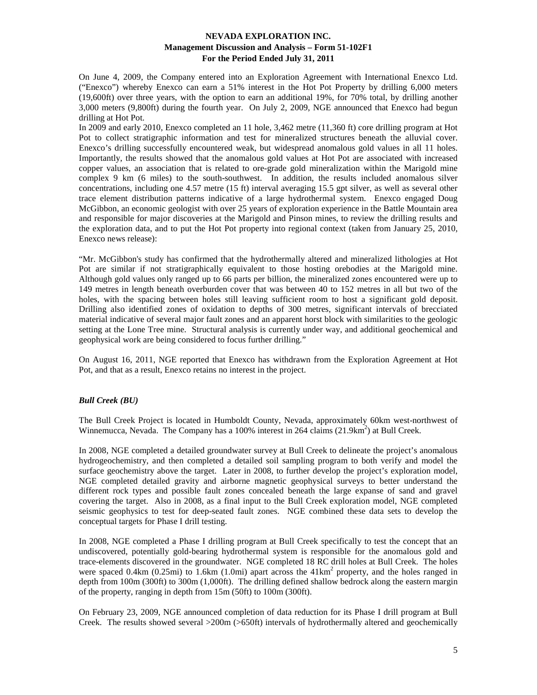On June 4, 2009, the Company entered into an Exploration Agreement with International Enexco Ltd. ("Enexco") whereby Enexco can earn a 51% interest in the Hot Pot Property by drilling 6,000 meters (19,600ft) over three years, with the option to earn an additional 19%, for 70% total, by drilling another 3,000 meters (9,800ft) during the fourth year. On July 2, 2009, NGE announced that Enexco had begun drilling at Hot Pot.

In 2009 and early 2010, Enexco completed an 11 hole, 3,462 metre (11,360 ft) core drilling program at Hot Pot to collect stratigraphic information and test for mineralized structures beneath the alluvial cover. Enexco's drilling successfully encountered weak, but widespread anomalous gold values in all 11 holes. Importantly, the results showed that the anomalous gold values at Hot Pot are associated with increased copper values, an association that is related to ore-grade gold mineralization within the Marigold mine complex 9 km (6 miles) to the south-southwest. In addition, the results included anomalous silver concentrations, including one 4.57 metre (15 ft) interval averaging 15.5 gpt silver, as well as several other trace element distribution patterns indicative of a large hydrothermal system. Enexco engaged Doug McGibbon, an economic geologist with over 25 years of exploration experience in the Battle Mountain area and responsible for major discoveries at the Marigold and Pinson mines, to review the drilling results and the exploration data, and to put the Hot Pot property into regional context (taken from January 25, 2010, Enexco news release):

"Mr. McGibbon's study has confirmed that the hydrothermally altered and mineralized lithologies at Hot Pot are similar if not stratigraphically equivalent to those hosting orebodies at the Marigold mine. Although gold values only ranged up to 66 parts per billion, the mineralized zones encountered were up to 149 metres in length beneath overburden cover that was between 40 to 152 metres in all but two of the holes, with the spacing between holes still leaving sufficient room to host a significant gold deposit. Drilling also identified zones of oxidation to depths of 300 metres, significant intervals of brecciated material indicative of several major fault zones and an apparent horst block with similarities to the geologic setting at the Lone Tree mine. Structural analysis is currently under way, and additional geochemical and geophysical work are being considered to focus further drilling."

On August 16, 2011, NGE reported that Enexco has withdrawn from the Exploration Agreement at Hot Pot, and that as a result, Enexco retains no interest in the project.

## *Bull Creek (BU)*

The Bull Creek Project is located in Humboldt County, Nevada, approximately 60km west-northwest of Winnemucca, Nevada. The Company has a 100% interest in 264 claims  $(21.9 \text{km}^2)$  at Bull Creek.

In 2008, NGE completed a detailed groundwater survey at Bull Creek to delineate the project's anomalous hydrogeochemistry, and then completed a detailed soil sampling program to both verify and model the surface geochemistry above the target. Later in 2008, to further develop the project's exploration model, NGE completed detailed gravity and airborne magnetic geophysical surveys to better understand the different rock types and possible fault zones concealed beneath the large expanse of sand and gravel covering the target. Also in 2008, as a final input to the Bull Creek exploration model, NGE completed seismic geophysics to test for deep-seated fault zones. NGE combined these data sets to develop the conceptual targets for Phase I drill testing.

In 2008, NGE completed a Phase I drilling program at Bull Creek specifically to test the concept that an undiscovered, potentially gold-bearing hydrothermal system is responsible for the anomalous gold and trace-elements discovered in the groundwater. NGE completed 18 RC drill holes at Bull Creek. The holes were spaced  $0.4 \text{km}$  (0.25mi) to 1.6km (1.0mi) apart across the  $41 \text{km}^2$  property, and the holes ranged in depth from 100m (300ft) to 300m (1,000ft). The drilling defined shallow bedrock along the eastern margin of the property, ranging in depth from 15m (50ft) to 100m (300ft).

On February 23, 2009, NGE announced completion of data reduction for its Phase I drill program at Bull Creek. The results showed several >200m (>650ft) intervals of hydrothermally altered and geochemically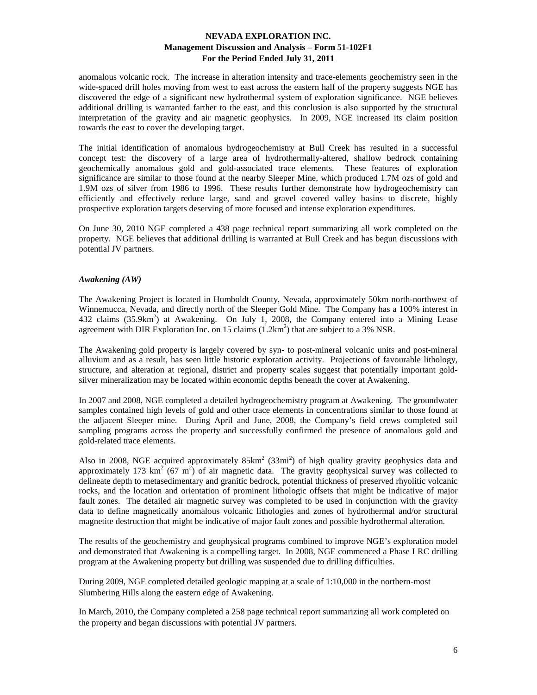anomalous volcanic rock. The increase in alteration intensity and trace-elements geochemistry seen in the wide-spaced drill holes moving from west to east across the eastern half of the property suggests NGE has discovered the edge of a significant new hydrothermal system of exploration significance. NGE believes additional drilling is warranted farther to the east, and this conclusion is also supported by the structural interpretation of the gravity and air magnetic geophysics. In 2009, NGE increased its claim position towards the east to cover the developing target.

The initial identification of anomalous hydrogeochemistry at Bull Creek has resulted in a successful concept test: the discovery of a large area of hydrothermally-altered, shallow bedrock containing geochemically anomalous gold and gold-associated trace elements. These features of exploration significance are similar to those found at the nearby Sleeper Mine, which produced 1.7M ozs of gold and 1.9M ozs of silver from 1986 to 1996. These results further demonstrate how hydrogeochemistry can efficiently and effectively reduce large, sand and gravel covered valley basins to discrete, highly prospective exploration targets deserving of more focused and intense exploration expenditures.

On June 30, 2010 NGE completed a 438 page technical report summarizing all work completed on the property. NGE believes that additional drilling is warranted at Bull Creek and has begun discussions with potential JV partners.

#### *Awakening (AW)*

The Awakening Project is located in Humboldt County, Nevada, approximately 50km north-northwest of Winnemucca, Nevada, and directly north of the Sleeper Gold Mine. The Company has a 100% interest in 432 claims (35.9km<sup>2</sup>) at Awakening. On July 1, 2008, the Company entered into a Mining Lease agreement with DIR Exploration Inc. on 15 claims  $(1.2 \text{km}^2)$  that are subject to a 3% NSR.

The Awakening gold property is largely covered by syn- to post-mineral volcanic units and post-mineral alluvium and as a result, has seen little historic exploration activity. Projections of favourable lithology, structure, and alteration at regional, district and property scales suggest that potentially important goldsilver mineralization may be located within economic depths beneath the cover at Awakening.

In 2007 and 2008, NGE completed a detailed hydrogeochemistry program at Awakening. The groundwater samples contained high levels of gold and other trace elements in concentrations similar to those found at the adjacent Sleeper mine. During April and June, 2008, the Company's field crews completed soil sampling programs across the property and successfully confirmed the presence of anomalous gold and gold-related trace elements.

Also in 2008, NGE acquired approximately  $85 \text{km}^2$  (33mi<sup>2</sup>) of high quality gravity geophysics data and approximately 173  $\text{km}^2$  (67 m<sup>2</sup>) of air magnetic data. The gravity geophysical survey was collected to delineate depth to metasedimentary and granitic bedrock, potential thickness of preserved rhyolitic volcanic rocks, and the location and orientation of prominent lithologic offsets that might be indicative of major fault zones. The detailed air magnetic survey was completed to be used in conjunction with the gravity data to define magnetically anomalous volcanic lithologies and zones of hydrothermal and/or structural magnetite destruction that might be indicative of major fault zones and possible hydrothermal alteration.

The results of the geochemistry and geophysical programs combined to improve NGE's exploration model and demonstrated that Awakening is a compelling target. In 2008, NGE commenced a Phase I RC drilling program at the Awakening property but drilling was suspended due to drilling difficulties.

During 2009, NGE completed detailed geologic mapping at a scale of 1:10,000 in the northern-most Slumbering Hills along the eastern edge of Awakening.

In March, 2010, the Company completed a 258 page technical report summarizing all work completed on the property and began discussions with potential JV partners.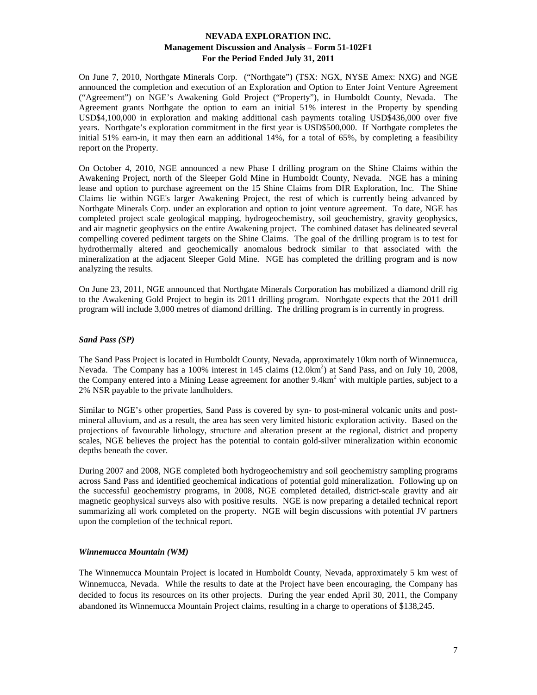On June 7, 2010, Northgate Minerals Corp. ("Northgate") (TSX: NGX, NYSE Amex: NXG) and NGE announced the completion and execution of an Exploration and Option to Enter Joint Venture Agreement ("Agreement") on NGE's Awakening Gold Project ("Property"), in Humboldt County, Nevada. The Agreement grants Northgate the option to earn an initial 51% interest in the Property by spending USD\$4,100,000 in exploration and making additional cash payments totaling USD\$436,000 over five years. Northgate's exploration commitment in the first year is USD\$500,000. If Northgate completes the initial 51% earn-in, it may then earn an additional 14%, for a total of 65%, by completing a feasibility report on the Property.

On October 4, 2010, NGE announced a new Phase I drilling program on the Shine Claims within the Awakening Project, north of the Sleeper Gold Mine in Humboldt County, Nevada. NGE has a mining lease and option to purchase agreement on the 15 Shine Claims from DIR Exploration, Inc. The Shine Claims lie within NGE's larger Awakening Project, the rest of which is currently being advanced by Northgate Minerals Corp. under an exploration and option to joint venture agreement. To date, NGE has completed project scale geological mapping, hydrogeochemistry, soil geochemistry, gravity geophysics, and air magnetic geophysics on the entire Awakening project. The combined dataset has delineated several compelling covered pediment targets on the Shine Claims. The goal of the drilling program is to test for hydrothermally altered and geochemically anomalous bedrock similar to that associated with the mineralization at the adjacent Sleeper Gold Mine. NGE has completed the drilling program and is now analyzing the results.

On June 23, 2011, NGE announced that Northgate Minerals Corporation has mobilized a diamond drill rig to the Awakening Gold Project to begin its 2011 drilling program. Northgate expects that the 2011 drill program will include 3,000 metres of diamond drilling. The drilling program is in currently in progress.

## *Sand Pass (SP)*

The Sand Pass Project is located in Humboldt County, Nevada, approximately 10km north of Winnemucca, Nevada. The Company has a 100% interest in 145 claims (12.0km<sup>2</sup>) at Sand Pass, and on July 10, 2008, the Company entered into a Mining Lease agreement for another 9.4km<sup>2</sup> with multiple parties, subject to a 2% NSR payable to the private landholders.

Similar to NGE's other properties, Sand Pass is covered by syn- to post-mineral volcanic units and postmineral alluvium, and as a result, the area has seen very limited historic exploration activity. Based on the projections of favourable lithology, structure and alteration present at the regional, district and property scales, NGE believes the project has the potential to contain gold-silver mineralization within economic depths beneath the cover.

During 2007 and 2008, NGE completed both hydrogeochemistry and soil geochemistry sampling programs across Sand Pass and identified geochemical indications of potential gold mineralization. Following up on the successful geochemistry programs, in 2008, NGE completed detailed, district-scale gravity and air magnetic geophysical surveys also with positive results. NGE is now preparing a detailed technical report summarizing all work completed on the property. NGE will begin discussions with potential JV partners upon the completion of the technical report.

## *Winnemucca Mountain (WM)*

The Winnemucca Mountain Project is located in Humboldt County, Nevada, approximately 5 km west of Winnemucca, Nevada. While the results to date at the Project have been encouraging, the Company has decided to focus its resources on its other projects. During the year ended April 30, 2011, the Company abandoned its Winnemucca Mountain Project claims, resulting in a charge to operations of \$138,245.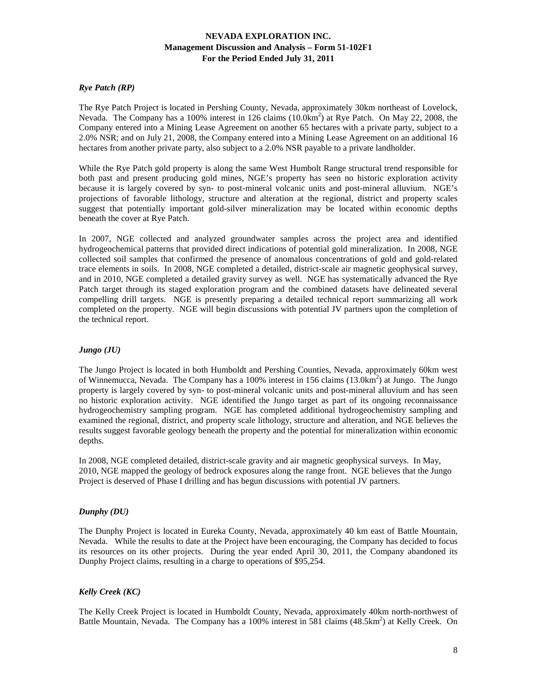## *Rye Patch (RP)*

The Rye Patch Project is located in Pershing County, Nevada, approximately 30km northeast of Lovelock, Nevada. The Company has a 100% interest in 126 claims (10.0km<sup>2</sup>) at Rye Patch. On May 22, 2008, the Company entered into a Mining Lease Agreement on another 65 hectares with a private party, subject to a 2.0% NSR; and on July 21, 2008, the Company entered into a Mining Lease Agreement on an additional 16 hectares from another private party, also subject to a 2.0% NSR payable to a private landholder.

While the Rye Patch gold property is along the same West Humbolt Range structural trend responsible for both past and present producing gold mines, NGE's property has seen no historic exploration activity because it is largely covered by syn- to post-mineral volcanic units and post-mineral alluvium. NGE's projections of favorable lithology, structure and alteration at the regional, district and property scales suggest that potentially important gold-silver mineralization may be located within economic depths beneath the cover at Rye Patch.

In 2007, NGE collected and analyzed groundwater samples across the project area and identified hydrogeochemical patterns that provided direct indications of potential gold mineralization. In 2008, NGE collected soil samples that confirmed the presence of anomalous concentrations of gold and gold-related trace elements in soils. In 2008, NGE completed a detailed, district-scale air magnetic geophysical survey, and in 2010, NGE completed a detailed gravity survey as well. NGE has systematically advanced the Rye Patch target through its staged exploration program and the combined datasets have delineated several compelling drill targets. NGE is presently preparing a detailed technical report summarizing all work completed on the property. NGE will begin discussions with potential JV partners upon the completion of the technical report.

## *Jungo (JU)*

The Jungo Project is located in both Humboldt and Pershing Counties, Nevada, approximately 60km west of Winnemucca, Nevada. The Company has a 100% interest in 156 claims  $(13.0 \text{km}^2)$  at Jungo. The Jungo property is largely covered by syn- to post-mineral volcanic units and post-mineral alluvium and has seen no historic exploration activity. NGE identified the Jungo target as part of its ongoing reconnaissance hydrogeochemistry sampling program. NGE has completed additional hydrogeochemistry sampling and examined the regional, district, and property scale lithology, structure and alteration, and NGE believes the results suggest favorable geology beneath the property and the potential for mineralization within economic depths.

In 2008, NGE completed detailed, district-scale gravity and air magnetic geophysical surveys. In May, 2010, NGE mapped the geology of bedrock exposures along the range front. NGE believes that the Jungo Project is deserved of Phase I drilling and has begun discussions with potential JV partners.

## *Dunphy (DU)*

The Dunphy Project is located in Eureka County, Nevada, approximately 40 km east of Battle Mountain, Nevada. While the results to date at the Project have been encouraging, the Company has decided to focus its resources on its other projects. During the year ended April 30, 2011, the Company abandoned its Dunphy Project claims, resulting in a charge to operations of \$95,254.

## *Kelly Creek (KC)*

The Kelly Creek Project is located in Humboldt County, Nevada, approximately 40km north-northwest of Battle Mountain, Nevada. The Company has a 100% interest in 581 claims (48.5km<sup>2</sup>) at Kelly Creek. On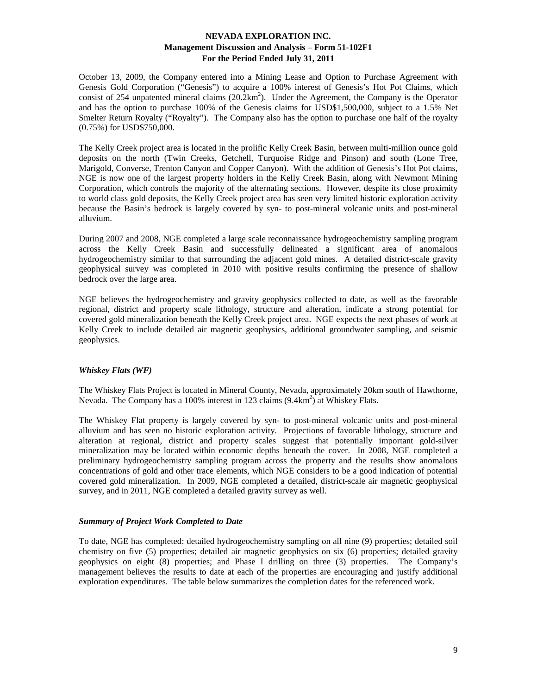October 13, 2009, the Company entered into a Mining Lease and Option to Purchase Agreement with Genesis Gold Corporation ("Genesis") to acquire a 100% interest of Genesis's Hot Pot Claims, which consist of 254 unpatented mineral claims  $(20.2 \text{km}^2)$ . Under the Agreement, the Company is the Operator and has the option to purchase 100% of the Genesis claims for USD\$1,500,000, subject to a 1.5% Net Smelter Return Royalty ("Royalty"). The Company also has the option to purchase one half of the royalty (0.75%) for USD\$750,000.

The Kelly Creek project area is located in the prolific Kelly Creek Basin, between multi-million ounce gold deposits on the north (Twin Creeks, Getchell, Turquoise Ridge and Pinson) and south (Lone Tree, Marigold, Converse, Trenton Canyon and Copper Canyon). With the addition of Genesis's Hot Pot claims, NGE is now one of the largest property holders in the Kelly Creek Basin, along with Newmont Mining Corporation, which controls the majority of the alternating sections. However, despite its close proximity to world class gold deposits, the Kelly Creek project area has seen very limited historic exploration activity because the Basin's bedrock is largely covered by syn- to post-mineral volcanic units and post-mineral alluvium.

During 2007 and 2008, NGE completed a large scale reconnaissance hydrogeochemistry sampling program across the Kelly Creek Basin and successfully delineated a significant area of anomalous hydrogeochemistry similar to that surrounding the adjacent gold mines. A detailed district-scale gravity geophysical survey was completed in 2010 with positive results confirming the presence of shallow bedrock over the large area.

NGE believes the hydrogeochemistry and gravity geophysics collected to date, as well as the favorable regional, district and property scale lithology, structure and alteration, indicate a strong potential for covered gold mineralization beneath the Kelly Creek project area. NGE expects the next phases of work at Kelly Creek to include detailed air magnetic geophysics, additional groundwater sampling, and seismic geophysics.

## *Whiskey Flats (WF)*

The Whiskey Flats Project is located in Mineral County, Nevada, approximately 20km south of Hawthorne, Nevada. The Company has a 100% interest in 123 claims (9.4km<sup>2</sup>) at Whiskey Flats.

The Whiskey Flat property is largely covered by syn- to post-mineral volcanic units and post-mineral alluvium and has seen no historic exploration activity. Projections of favorable lithology, structure and alteration at regional, district and property scales suggest that potentially important gold-silver mineralization may be located within economic depths beneath the cover. In 2008, NGE completed a preliminary hydrogeochemistry sampling program across the property and the results show anomalous concentrations of gold and other trace elements, which NGE considers to be a good indication of potential covered gold mineralization. In 2009, NGE completed a detailed, district-scale air magnetic geophysical survey, and in 2011, NGE completed a detailed gravity survey as well.

#### *Summary of Project Work Completed to Date*

To date, NGE has completed: detailed hydrogeochemistry sampling on all nine (9) properties; detailed soil chemistry on five (5) properties; detailed air magnetic geophysics on six (6) properties; detailed gravity geophysics on eight (8) properties; and Phase I drilling on three (3) properties. The Company's management believes the results to date at each of the properties are encouraging and justify additional exploration expenditures. The table below summarizes the completion dates for the referenced work.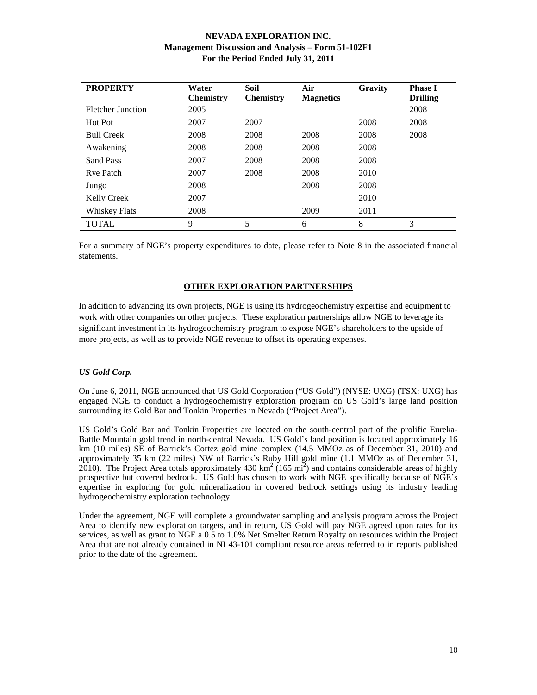| <b>PROPERTY</b>          | Water<br><b>Chemistry</b> | Soil<br><b>Chemistry</b> | Air<br><b>Magnetics</b> | Gravity | <b>Phase I</b><br><b>Drilling</b> |
|--------------------------|---------------------------|--------------------------|-------------------------|---------|-----------------------------------|
| <b>Fletcher Junction</b> | 2005                      |                          |                         |         | 2008                              |
| Hot Pot                  | 2007                      | 2007                     |                         | 2008    | 2008                              |
| <b>Bull Creek</b>        | 2008                      | 2008                     | 2008                    | 2008    | 2008                              |
| Awakening                | 2008                      | 2008                     | 2008                    | 2008    |                                   |
| Sand Pass                | 2007                      | 2008                     | 2008                    | 2008    |                                   |
| <b>Rye Patch</b>         | 2007                      | 2008                     | 2008                    | 2010    |                                   |
| Jungo                    | 2008                      |                          | 2008                    | 2008    |                                   |
| Kelly Creek              | 2007                      |                          |                         | 2010    |                                   |
| <b>Whiskey Flats</b>     | 2008                      |                          | 2009                    | 2011    |                                   |
| TOTAL                    | 9                         | 5                        | 6                       | 8       | 3                                 |

For a summary of NGE's property expenditures to date, please refer to Note 8 in the associated financial statements.

#### **OTHER EXPLORATION PARTNERSHIPS**

In addition to advancing its own projects, NGE is using its hydrogeochemistry expertise and equipment to work with other companies on other projects. These exploration partnerships allow NGE to leverage its significant investment in its hydrogeochemistry program to expose NGE's shareholders to the upside of more projects, as well as to provide NGE revenue to offset its operating expenses.

## *US Gold Corp.*

On June 6, 2011, NGE announced that US Gold Corporation ("US Gold") (NYSE: UXG) (TSX: UXG) has engaged NGE to conduct a hydrogeochemistry exploration program on US Gold's large land position surrounding its Gold Bar and Tonkin Properties in Nevada ("Project Area").

US Gold's Gold Bar and Tonkin Properties are located on the south-central part of the prolific Eureka-Battle Mountain gold trend in north-central Nevada. US Gold's land position is located approximately 16 km (10 miles) SE of Barrick's Cortez gold mine complex (14.5 MMOz as of December 31, 2010) and approximately 35 km (22 miles) NW of Barrick's Ruby Hill gold mine (1.1 MMOz as of December 31,  $2010$ ). The Project Area totals approximately 430 km<sup>2</sup> (165 mi<sup>2</sup>) and contains considerable areas of highly prospective but covered bedrock. US Gold has chosen to work with NGE specifically because of NGE's expertise in exploring for gold mineralization in covered bedrock settings using its industry leading hydrogeochemistry exploration technology.

Under the agreement, NGE will complete a groundwater sampling and analysis program across the Project Area to identify new exploration targets, and in return, US Gold will pay NGE agreed upon rates for its services, as well as grant to NGE a 0.5 to 1.0% Net Smelter Return Royalty on resources within the Project Area that are not already contained in NI 43-101 compliant resource areas referred to in reports published prior to the date of the agreement.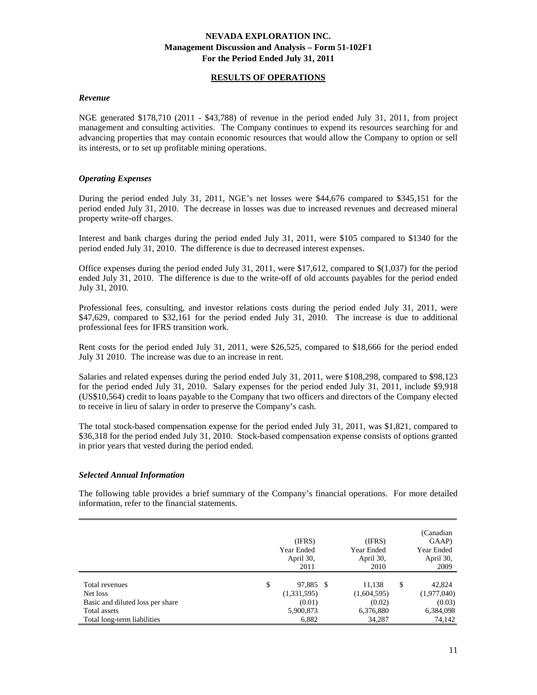## **RESULTS OF OPERATIONS**

#### *Revenue*

NGE generated \$178,710 (2011 - \$43,788) of revenue in the period ended July 31, 2011, from project management and consulting activities. The Company continues to expend its resources searching for and advancing properties that may contain economic resources that would allow the Company to option or sell its interests, or to set up profitable mining operations.

#### *Operating Expenses*

During the period ended July 31, 2011, NGE's net losses were \$44,676 compared to \$345,151 for the period ended July 31, 2010. The decrease in losses was due to increased revenues and decreased mineral property write-off charges.

Interest and bank charges during the period ended July 31, 2011, were \$105 compared to \$1340 for the period ended July 31, 2010. The difference is due to decreased interest expenses.

Office expenses during the period ended July 31, 2011, were \$17,612, compared to \$(1,037) for the period ended July 31, 2010. The difference is due to the write-off of old accounts payables for the period ended July 31, 2010.

Professional fees, consulting, and investor relations costs during the period ended July 31, 2011, were \$47,629, compared to \$32,161 for the period ended July 31, 2010. The increase is due to additional professional fees for IFRS transition work.

Rent costs for the period ended July 31, 2011, were \$26,525, compared to \$18,666 for the period ended July 31 2010. The increase was due to an increase in rent.

Salaries and related expenses during the period ended July 31, 2011, were \$108,298, compared to \$98,123 for the period ended July 31, 2010. Salary expenses for the period ended July 31, 2011, include \$9,918 (US\$10,564) credit to loans payable to the Company that two officers and directors of the Company elected to receive in lieu of salary in order to preserve the Company's cash.

The total stock-based compensation expense for the period ended July 31, 2011, was \$1,821, compared to \$36,318 for the period ended July 31, 2010. Stock-based compensation expense consists of options granted in prior years that vested during the period ended.

#### *Selected Annual Information*

The following table provides a brief summary of the Company's financial operations. For more detailed information, refer to the financial statements.

|                                                                                 | (IFRS)<br>Year Ended<br>April 30,<br>2011 | (IFRS)<br>Year Ended<br>April 30,<br>2010 | (Canadian<br>GAAP)<br>Year Ended<br>April 30,<br>2009 |
|---------------------------------------------------------------------------------|-------------------------------------------|-------------------------------------------|-------------------------------------------------------|
| Total revenues<br>Net loss                                                      | \$<br>97,885 \$<br>(1,331,595)            | 11,138<br>(1,604,595)                     | \$<br>42,824<br>(1,977,040)                           |
| Basic and diluted loss per share<br>Total assets<br>Total long-term liabilities | (0.01)<br>5,900,873<br>6,882              | (0.02)<br>6,376,880<br>34,287             | (0.03)<br>6,384,098<br>74,142                         |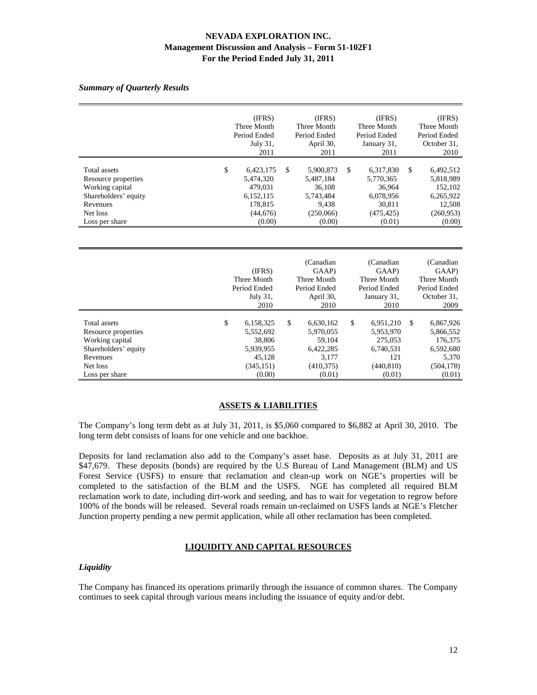#### *Summary of Quarterly Results*

|                                                                                                                                 | (IFRS)<br>Three Month<br>Period Ended<br>July 31,<br>2011                              | (IFRS)<br>Three Month<br>Period Ended<br>April 30,<br>2011                           | (IFRS)<br>Three Month<br>Period Ended<br>January 31,<br>2011                          | (IFRS)<br>Three Month<br>Period Ended<br>October 31,<br>2010                                     |
|---------------------------------------------------------------------------------------------------------------------------------|----------------------------------------------------------------------------------------|--------------------------------------------------------------------------------------|---------------------------------------------------------------------------------------|--------------------------------------------------------------------------------------------------|
| <b>Total</b> assets<br>Resource properties<br>Working capital<br>Shareholders' equity<br>Revenues<br>Net loss<br>Loss per share | \$<br>6,423,175<br>5,474,320<br>479,031<br>6,152,115<br>178,815<br>(44, 676)<br>(0.00) | \$<br>5,900,873<br>5,487,184<br>36,108<br>5,743,484<br>9,438<br>(250,066)<br>(0.00)  | \$<br>6,317,830<br>5,770,365<br>36,964<br>6,078,956<br>30,811<br>(475, 425)<br>(0.01) | $\mathsf{\$}$<br>6,492,512<br>5,818,989<br>152,102<br>6,265,922<br>12,508<br>(260,953)<br>(0.00) |
|                                                                                                                                 | (IFRS)<br>Three Month<br>Period Ended<br>July 31,<br>2010                              | (Canadian<br>GAAP)<br>Three Month<br>Period Ended<br>April 30,<br>2010               | (Canadian<br>GAAP)<br>Three Month<br>Period Ended<br>January 31,<br>2010              | (Canadian<br>GAAP)<br>Three Month<br>Period Ended<br>October 31,<br>2009                         |
| Total assets<br>Resource properties<br>Working capital<br>Shareholders' equity<br>Revenues<br>Net loss<br>Loss per share        | \$<br>6,158,325<br>5,552,692<br>38,806<br>5,939,955<br>45,128<br>(345, 151)<br>(0.00)  | \$<br>6,630,162<br>5,970,055<br>59.104<br>6,422,285<br>3,177<br>(410, 375)<br>(0.01) | \$<br>6,951,210<br>5,953,970<br>275,053<br>6.740.531<br>121<br>(440, 810)<br>(0.01)   | $\mathbb{S}$<br>6,867,926<br>5,866,552<br>176,375<br>6,592,680<br>5,370<br>(504, 178)<br>(0.01)  |

# **ASSETS & LIABILITIES**

The Company's long term debt as at July 31, 2011, is \$5,060 compared to \$6,882 at April 30, 2010. The long term debt consists of loans for one vehicle and one backhoe.

Deposits for land reclamation also add to the Company's asset base. Deposits as at July 31, 2011 are \$47,679. These deposits (bonds) are required by the U.S Bureau of Land Management (BLM) and US Forest Service (USFS) to ensure that reclamation and clean-up work on NGE's properties will be completed to the satisfaction of the BLM and the USFS. NGE has completed all required BLM reclamation work to date, including dirt-work and seeding, and has to wait for vegetation to regrow before 100% of the bonds will be released. Several roads remain un-reclaimed on USFS lands at NGE's Fletcher Junction property pending a new permit application, while all other reclamation has been completed.

## **LIQUIDITY AND CAPITAL RESOURCES**

#### *Liquidity*

The Company has financed its operations primarily through the issuance of common shares. The Company continues to seek capital through various means including the issuance of equity and/or debt.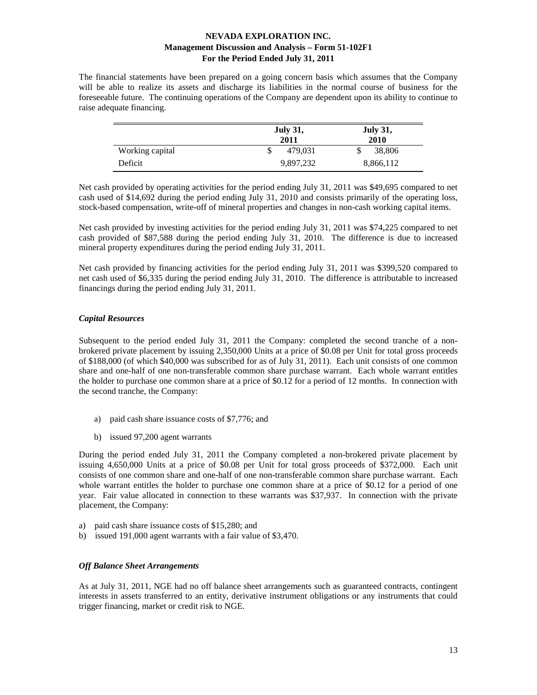The financial statements have been prepared on a going concern basis which assumes that the Company will be able to realize its assets and discharge its liabilities in the normal course of business for the foreseeable future. The continuing operations of the Company are dependent upon its ability to continue to raise adequate financing.

|                 | <b>July 31,</b><br>2011 | <b>July 31,</b><br>2010 |
|-----------------|-------------------------|-------------------------|
| Working capital | 479.031                 | 38,806<br>S             |
| Deficit         | 9,897,232               | 8,866,112               |

Net cash provided by operating activities for the period ending July 31, 2011 was \$49,695 compared to net cash used of \$14,692 during the period ending July 31, 2010 and consists primarily of the operating loss, stock-based compensation, write-off of mineral properties and changes in non-cash working capital items.

Net cash provided by investing activities for the period ending July 31, 2011 was \$74,225 compared to net cash provided of \$87,588 during the period ending July 31, 2010. The difference is due to increased mineral property expenditures during the period ending July 31, 2011.

Net cash provided by financing activities for the period ending July 31, 2011 was \$399,520 compared to net cash used of \$6,335 during the period ending July 31, 2010. The difference is attributable to increased financings during the period ending July 31, 2011.

# *Capital Resources*

Subsequent to the period ended July 31, 2011 the Company: completed the second tranche of a nonbrokered private placement by issuing 2,350,000 Units at a price of \$0.08 per Unit for total gross proceeds of \$188,000 (of which \$40,000 was subscribed for as of July 31, 2011). Each unit consists of one common share and one-half of one non-transferable common share purchase warrant. Each whole warrant entitles the holder to purchase one common share at a price of \$0.12 for a period of 12 months. In connection with the second tranche, the Company:

- a) paid cash share issuance costs of \$7,776; and
- b) issued 97,200 agent warrants

During the period ended July 31, 2011 the Company completed a non-brokered private placement by issuing 4,650,000 Units at a price of \$0.08 per Unit for total gross proceeds of \$372,000. Each unit consists of one common share and one-half of one non-transferable common share purchase warrant. Each whole warrant entitles the holder to purchase one common share at a price of \$0.12 for a period of one year. Fair value allocated in connection to these warrants was \$37,937. In connection with the private placement, the Company:

- a) paid cash share issuance costs of \$15,280; and
- b) issued 191,000 agent warrants with a fair value of \$3,470.

## *Off Balance Sheet Arrangements*

As at July 31, 2011, NGE had no off balance sheet arrangements such as guaranteed contracts, contingent interests in assets transferred to an entity, derivative instrument obligations or any instruments that could trigger financing, market or credit risk to NGE.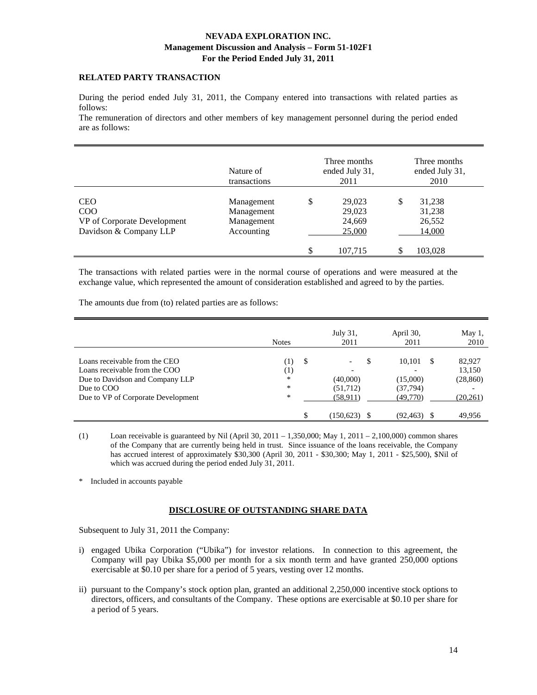# **RELATED PARTY TRANSACTION**

During the period ended July 31, 2011, the Company entered into transactions with related parties as follows:

The remuneration of directors and other members of key management personnel during the period ended are as follows:

|                                                                            | Nature of<br>transactions                            |     | Three months<br>ended July 31,<br>2011 |   | Three months<br>ended July 31,<br>2010 |
|----------------------------------------------------------------------------|------------------------------------------------------|-----|----------------------------------------|---|----------------------------------------|
| <b>CEO</b><br>COO<br>VP of Corporate Development<br>Davidson & Company LLP | Management<br>Management<br>Management<br>Accounting | \$  | 29,023<br>29,023<br>24,669<br>25,000   | S | 31,238<br>31,238<br>26,552<br>14,000   |
|                                                                            |                                                      | \$. | 107.715                                |   | 103.028                                |

The transactions with related parties were in the normal course of operations and were measured at the exchange value, which represented the amount of consideration established and agreed to by the parties.

The amounts due from (to) related parties are as follows:

|                                                                                                                                                       | <b>Notes</b>                                           | July 31,<br>2011                                                        | April 30,<br>2011                                | May 1,<br>2010                             |
|-------------------------------------------------------------------------------------------------------------------------------------------------------|--------------------------------------------------------|-------------------------------------------------------------------------|--------------------------------------------------|--------------------------------------------|
| Loans receivable from the CEO<br>Loans receivable from the COO<br>Due to Davidson and Company LLP<br>Due to COO<br>Due to VP of Corporate Development | -S<br>$\left(1\right)$<br>$^{(1)}$<br>$\ast$<br>*<br>* | S<br>$\overline{\phantom{0}}$<br>-<br>(40,000)<br>(51,712)<br>(58, 911) | 10.101<br>-S<br>(15,000)<br>(37,794)<br>(49,770) | 82,927<br>13,150<br>(28, 860)<br>(20, 261) |
|                                                                                                                                                       | \$                                                     | 150,623                                                                 | (92, 463)                                        | 49.956                                     |

(1) Loan receivable is guaranteed by Nil (April 30, 2011 – 1,350,000; May 1, 2011 – 2,100,000) common shares of the Company that are currently being held in trust. Since issuance of the loans receivable, the Company has accrued interest of approximately \$30,300 (April 30, 2011 - \$30,300; May 1, 2011 - \$25,500), \$Nil of which was accrued during the period ended July 31, 2011.

\* Included in accounts payable

## **DISCLOSURE OF OUTSTANDING SHARE DATA**

Subsequent to July 31, 2011 the Company:

- i) engaged Ubika Corporation ("Ubika") for investor relations. In connection to this agreement, the Company will pay Ubika \$5,000 per month for a six month term and have granted 250,000 options exercisable at \$0.10 per share for a period of 5 years, vesting over 12 months.
- ii) pursuant to the Company's stock option plan, granted an additional 2,250,000 incentive stock options to directors, officers, and consultants of the Company. These options are exercisable at \$0.10 per share for a period of 5 years.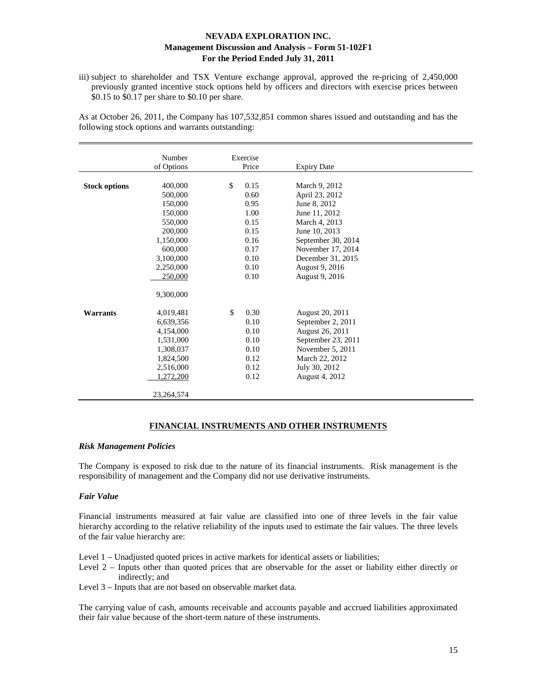iii) subject to shareholder and TSX Venture exchange approval, approved the re-pricing of 2,450,000 previously granted incentive stock options held by officers and directors with exercise prices between \$0.15 to \$0.17 per share to \$0.10 per share.

As at October 26, 2011, the Company has 107,532,851 common shares issued and outstanding and has the following stock options and warrants outstanding:

|                      | Number       | Exercise   |                    |  |
|----------------------|--------------|------------|--------------------|--|
|                      | of Options   | Price      | <b>Expiry Date</b> |  |
|                      |              |            |                    |  |
| <b>Stock options</b> | 400,000      | \$<br>0.15 | March 9, 2012      |  |
|                      | 500,000      | 0.60       | April 23, 2012     |  |
|                      | 150,000      | 0.95       | June 8, 2012       |  |
|                      | 150,000      | 1.00       | June 11, 2012      |  |
|                      | 550,000      | 0.15       | March 4, 2013      |  |
|                      | 200,000      | 0.15       | June 10, 2013      |  |
|                      | 1,150,000    | 0.16       | September 30, 2014 |  |
|                      | 600,000      | 0.17       | November 17, 2014  |  |
|                      | 3,100,000    | 0.10       | December 31, 2015  |  |
|                      | 2,250,000    | 0.10       | August 9, 2016     |  |
|                      | 250,000      | 0.10       | August 9, 2016     |  |
|                      |              |            |                    |  |
|                      | 9,300,000    |            |                    |  |
|                      |              |            |                    |  |
| <b>Warrants</b>      | 4,019,481    | \$<br>0.30 | August 20, 2011    |  |
|                      | 6,639,356    | 0.10       | September 2, 2011  |  |
|                      | 4,154,000    | 0.10       | August 26, 2011    |  |
|                      | 1,531,000    | 0.10       | September 23, 2011 |  |
|                      | 1,308,037    | 0.10       | November 5, 2011   |  |
|                      | 1,824,500    | 0.12       | March 22, 2012     |  |
|                      | 2,516,000    | 0.12       | July 30, 2012      |  |
|                      | 1,272,200    | 0.12       | August 4, 2012     |  |
|                      |              |            |                    |  |
|                      | 23, 264, 574 |            |                    |  |

## **FINANCIAL INSTRUMENTS AND OTHER INSTRUMENTS**

#### *Risk Management Policies*

The Company is exposed to risk due to the nature of its financial instruments. Risk management is the responsibility of management and the Company did not use derivative instruments.

#### *Fair Value*

Financial instruments measured at fair value are classified into one of three levels in the fair value hierarchy according to the relative reliability of the inputs used to estimate the fair values. The three levels of the fair value hierarchy are:

Level 1 – Unadjusted quoted prices in active markets for identical assets or liabilities;

- Level 2 Inputs other than quoted prices that are observable for the asset or liability either directly or indirectly; and
- Level 3 Inputs that are not based on observable market data.

The carrying value of cash, amounts receivable and accounts payable and accrued liabilities approximated their fair value because of the short-term nature of these instruments.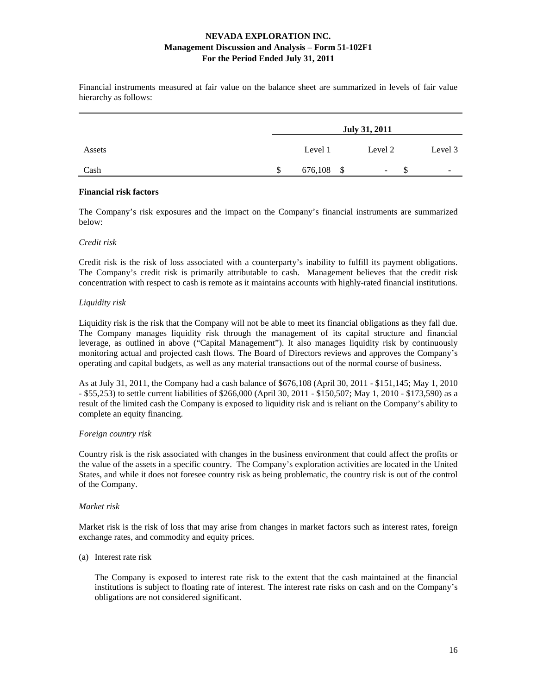Financial instruments measured at fair value on the balance sheet are summarized in levels of fair value hierarchy as follows:

|        | <b>July 31, 2011</b> |            |  |         |    |                          |
|--------|----------------------|------------|--|---------|----|--------------------------|
| Assets |                      | Level 1    |  | Level 2 |    | Level 3                  |
| Cash   | S                    | 676,108 \$ |  | -       | J. | $\overline{\phantom{0}}$ |

#### **Financial risk factors**

The Company's risk exposures and the impact on the Company's financial instruments are summarized below:

## *Credit risk*

Credit risk is the risk of loss associated with a counterparty's inability to fulfill its payment obligations. The Company's credit risk is primarily attributable to cash. Management believes that the credit risk concentration with respect to cash is remote as it maintains accounts with highly-rated financial institutions.

# *Liquidity risk*

Liquidity risk is the risk that the Company will not be able to meet its financial obligations as they fall due. The Company manages liquidity risk through the management of its capital structure and financial leverage, as outlined in above ("Capital Management"). It also manages liquidity risk by continuously monitoring actual and projected cash flows. The Board of Directors reviews and approves the Company's operating and capital budgets, as well as any material transactions out of the normal course of business.

As at July 31, 2011, the Company had a cash balance of \$676,108 (April 30, 2011 - \$151,145; May 1, 2010 - \$55,253) to settle current liabilities of \$266,000 (April 30, 2011 - \$150,507; May 1, 2010 - \$173,590) as a result of the limited cash the Company is exposed to liquidity risk and is reliant on the Company's ability to complete an equity financing.

## *Foreign country risk*

Country risk is the risk associated with changes in the business environment that could affect the profits or the value of the assets in a specific country. The Company's exploration activities are located in the United States, and while it does not foresee country risk as being problematic, the country risk is out of the control of the Company.

## *Market risk*

Market risk is the risk of loss that may arise from changes in market factors such as interest rates, foreign exchange rates, and commodity and equity prices.

## (a) Interest rate risk

 The Company is exposed to interest rate risk to the extent that the cash maintained at the financial institutions is subject to floating rate of interest. The interest rate risks on cash and on the Company's obligations are not considered significant.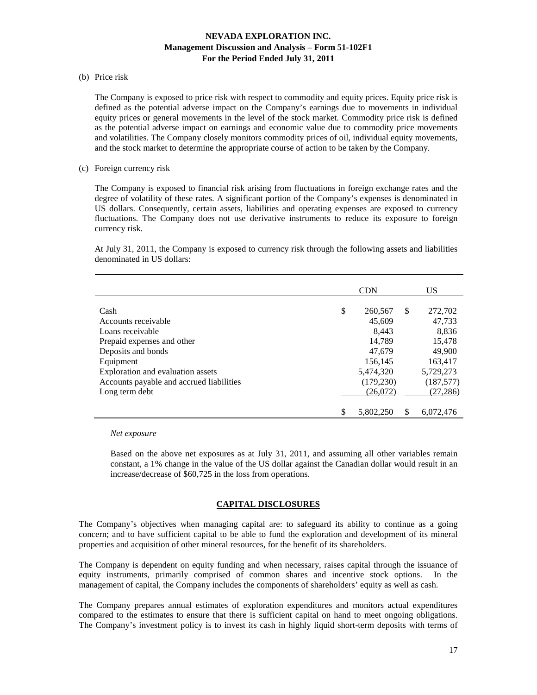#### (b) Price risk

 The Company is exposed to price risk with respect to commodity and equity prices. Equity price risk is defined as the potential adverse impact on the Company's earnings due to movements in individual equity prices or general movements in the level of the stock market. Commodity price risk is defined as the potential adverse impact on earnings and economic value due to commodity price movements and volatilities. The Company closely monitors commodity prices of oil, individual equity movements, and the stock market to determine the appropriate course of action to be taken by the Company.

#### (c) Foreign currency risk

 The Company is exposed to financial risk arising from fluctuations in foreign exchange rates and the degree of volatility of these rates. A significant portion of the Company's expenses is denominated in US dollars. Consequently, certain assets, liabilities and operating expenses are exposed to currency fluctuations. The Company does not use derivative instruments to reduce its exposure to foreign currency risk.

At July 31, 2011, the Company is exposed to currency risk through the following assets and liabilities denominated in US dollars:

|                                          | <b>CDN</b>      |          | <b>US</b>  |
|------------------------------------------|-----------------|----------|------------|
| Cash                                     | \$<br>260,567   | <b>S</b> | 272,702    |
| Accounts receivable                      | 45,609          |          | 47,733     |
| Loans receivable                         | 8.443           |          | 8,836      |
| Prepaid expenses and other               | 14,789          |          | 15,478     |
| Deposits and bonds                       | 47,679          |          | 49,900     |
| Equipment                                | 156,145         |          | 163,417    |
| Exploration and evaluation assets        | 5,474,320       |          | 5,729,273  |
| Accounts payable and accrued liabilities | (179, 230)      |          | (187, 577) |
| Long term debt                           | (26,072)        |          | (27, 286)  |
|                                          |                 |          |            |
|                                          | \$<br>5.802.250 | S        | 6.072.476  |

*Net exposure* 

Based on the above net exposures as at July 31, 2011, and assuming all other variables remain constant, a 1% change in the value of the US dollar against the Canadian dollar would result in an increase/decrease of \$60,725 in the loss from operations.

## **CAPITAL DISCLOSURES**

The Company's objectives when managing capital are: to safeguard its ability to continue as a going concern; and to have sufficient capital to be able to fund the exploration and development of its mineral properties and acquisition of other mineral resources, for the benefit of its shareholders.

The Company is dependent on equity funding and when necessary, raises capital through the issuance of equity instruments, primarily comprised of common shares and incentive stock options. In the management of capital, the Company includes the components of shareholders' equity as well as cash.

The Company prepares annual estimates of exploration expenditures and monitors actual expenditures compared to the estimates to ensure that there is sufficient capital on hand to meet ongoing obligations. The Company's investment policy is to invest its cash in highly liquid short-term deposits with terms of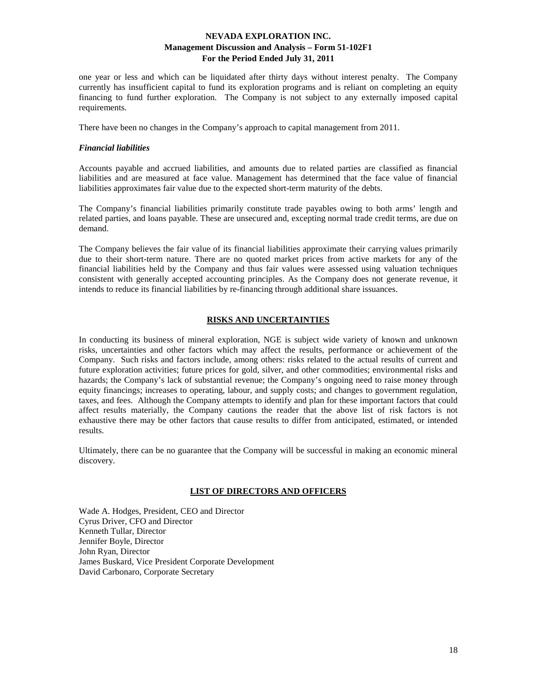one year or less and which can be liquidated after thirty days without interest penalty. The Company currently has insufficient capital to fund its exploration programs and is reliant on completing an equity financing to fund further exploration. The Company is not subject to any externally imposed capital requirements.

There have been no changes in the Company's approach to capital management from 2011.

#### *Financial liabilities*

Accounts payable and accrued liabilities, and amounts due to related parties are classified as financial liabilities and are measured at face value. Management has determined that the face value of financial liabilities approximates fair value due to the expected short-term maturity of the debts.

The Company's financial liabilities primarily constitute trade payables owing to both arms' length and related parties, and loans payable. These are unsecured and, excepting normal trade credit terms, are due on demand.

The Company believes the fair value of its financial liabilities approximate their carrying values primarily due to their short-term nature. There are no quoted market prices from active markets for any of the financial liabilities held by the Company and thus fair values were assessed using valuation techniques consistent with generally accepted accounting principles. As the Company does not generate revenue, it intends to reduce its financial liabilities by re-financing through additional share issuances.

#### **RISKS AND UNCERTAINTIES**

In conducting its business of mineral exploration, NGE is subject wide variety of known and unknown risks, uncertainties and other factors which may affect the results, performance or achievement of the Company. Such risks and factors include, among others: risks related to the actual results of current and future exploration activities; future prices for gold, silver, and other commodities; environmental risks and hazards; the Company's lack of substantial revenue; the Company's ongoing need to raise money through equity financings; increases to operating, labour, and supply costs; and changes to government regulation, taxes, and fees. Although the Company attempts to identify and plan for these important factors that could affect results materially, the Company cautions the reader that the above list of risk factors is not exhaustive there may be other factors that cause results to differ from anticipated, estimated, or intended results.

Ultimately, there can be no guarantee that the Company will be successful in making an economic mineral discovery.

## **LIST OF DIRECTORS AND OFFICERS**

Wade A. Hodges, President, CEO and Director Cyrus Driver, CFO and Director Kenneth Tullar, Director Jennifer Boyle, Director John Ryan, Director James Buskard, Vice President Corporate Development David Carbonaro, Corporate Secretary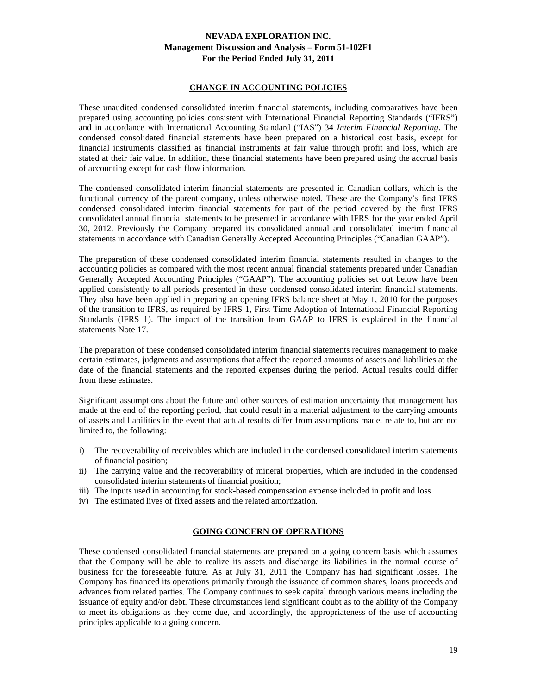## **CHANGE IN ACCOUNTING POLICIES**

These unaudited condensed consolidated interim financial statements, including comparatives have been prepared using accounting policies consistent with International Financial Reporting Standards ("IFRS") and in accordance with International Accounting Standard ("IAS") 34 *Interim Financial Reporting.* The condensed consolidated financial statements have been prepared on a historical cost basis, except for financial instruments classified as financial instruments at fair value through profit and loss, which are stated at their fair value. In addition, these financial statements have been prepared using the accrual basis of accounting except for cash flow information.

The condensed consolidated interim financial statements are presented in Canadian dollars, which is the functional currency of the parent company, unless otherwise noted. These are the Company's first IFRS condensed consolidated interim financial statements for part of the period covered by the first IFRS consolidated annual financial statements to be presented in accordance with IFRS for the year ended April 30, 2012. Previously the Company prepared its consolidated annual and consolidated interim financial statements in accordance with Canadian Generally Accepted Accounting Principles ("Canadian GAAP").

The preparation of these condensed consolidated interim financial statements resulted in changes to the accounting policies as compared with the most recent annual financial statements prepared under Canadian Generally Accepted Accounting Principles ("GAAP"). The accounting policies set out below have been applied consistently to all periods presented in these condensed consolidated interim financial statements. They also have been applied in preparing an opening IFRS balance sheet at May 1, 2010 for the purposes of the transition to IFRS, as required by IFRS 1, First Time Adoption of International Financial Reporting Standards (IFRS 1). The impact of the transition from GAAP to IFRS is explained in the financial statements Note 17.

The preparation of these condensed consolidated interim financial statements requires management to make certain estimates, judgments and assumptions that affect the reported amounts of assets and liabilities at the date of the financial statements and the reported expenses during the period. Actual results could differ from these estimates.

Significant assumptions about the future and other sources of estimation uncertainty that management has made at the end of the reporting period, that could result in a material adjustment to the carrying amounts of assets and liabilities in the event that actual results differ from assumptions made, relate to, but are not limited to, the following:

- i) The recoverability of receivables which are included in the condensed consolidated interim statements of financial position;
- ii) The carrying value and the recoverability of mineral properties, which are included in the condensed consolidated interim statements of financial position;
- iii) The inputs used in accounting for stock-based compensation expense included in profit and loss
- iv) The estimated lives of fixed assets and the related amortization.

# **GOING CONCERN OF OPERATIONS**

These condensed consolidated financial statements are prepared on a going concern basis which assumes that the Company will be able to realize its assets and discharge its liabilities in the normal course of business for the foreseeable future. As at July 31, 2011 the Company has had significant losses. The Company has financed its operations primarily through the issuance of common shares, loans proceeds and advances from related parties. The Company continues to seek capital through various means including the issuance of equity and/or debt. These circumstances lend significant doubt as to the ability of the Company to meet its obligations as they come due, and accordingly, the appropriateness of the use of accounting principles applicable to a going concern.